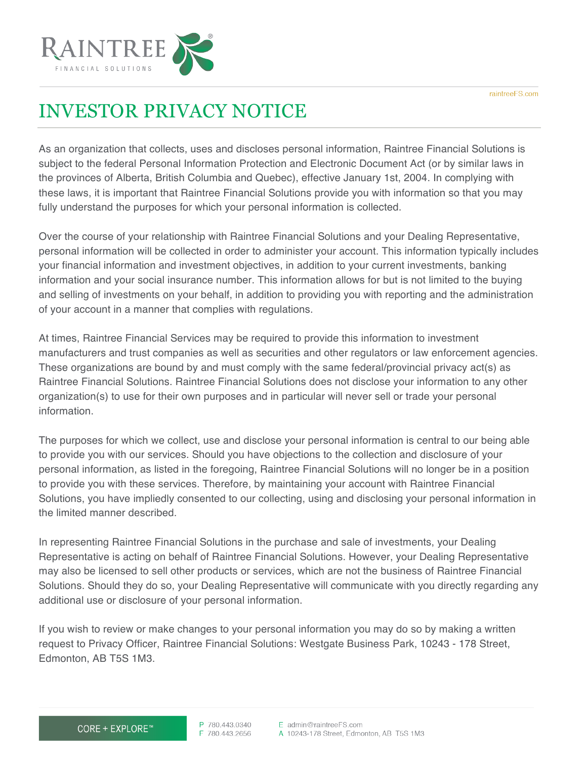

## INVESTOR PRIVACY NOTICE

As an organization that collects, uses and discloses personal information, Raintree Financial Solutions is subject to the federal Personal Information Protection and Electronic Document Act (or by similar laws in the provinces of Alberta, British Columbia and Quebec), effective January 1st, 2004. In complying with these laws, it is important that Raintree Financial Solutions provide you with information so that you may fully understand the purposes for which your personal information is collected.

Over the course of your relationship with Raintree Financial Solutions and your Dealing Representative, personal information will be collected in order to administer your account. This information typically includes your financial information and investment objectives, in addition to your current investments, banking information and your social insurance number. This information allows for but is not limited to the buying and selling of investments on your behalf, in addition to providing you with reporting and the administration of your account in a manner that complies with regulations.

At times, Raintree Financial Services may be required to provide this information to investment manufacturers and trust companies as well as securities and other regulators or law enforcement agencies. These organizations are bound by and must comply with the same federal/provincial privacy act(s) as Raintree Financial Solutions. Raintree Financial Solutions does not disclose your information to any other organization(s) to use for their own purposes and in particular will never sell or trade your personal information.

The purposes for which we collect, use and disclose your personal information is central to our being able to provide you with our services. Should you have objections to the collection and disclosure of your personal information, as listed in the foregoing, Raintree Financial Solutions will no longer be in a position to provide you with these services. Therefore, by maintaining your account with Raintree Financial Solutions, you have impliedly consented to our collecting, using and disclosing your personal information in the limited manner described.

In representing Raintree Financial Solutions in the purchase and sale of investments, your Dealing Representative is acting on behalf of Raintree Financial Solutions. However, your Dealing Representative may also be licensed to sell other products or services, which are not the business of Raintree Financial Solutions. Should they do so, your Dealing Representative will communicate with you directly regarding any additional use or disclosure of your personal information.

If you wish to review or make changes to your personal information you may do so by making a written request to Privacy Officer, Raintree Financial Solutions: Westgate Business Park, 10243 - 178 Street, Edmonton, AB T5S 1M3.